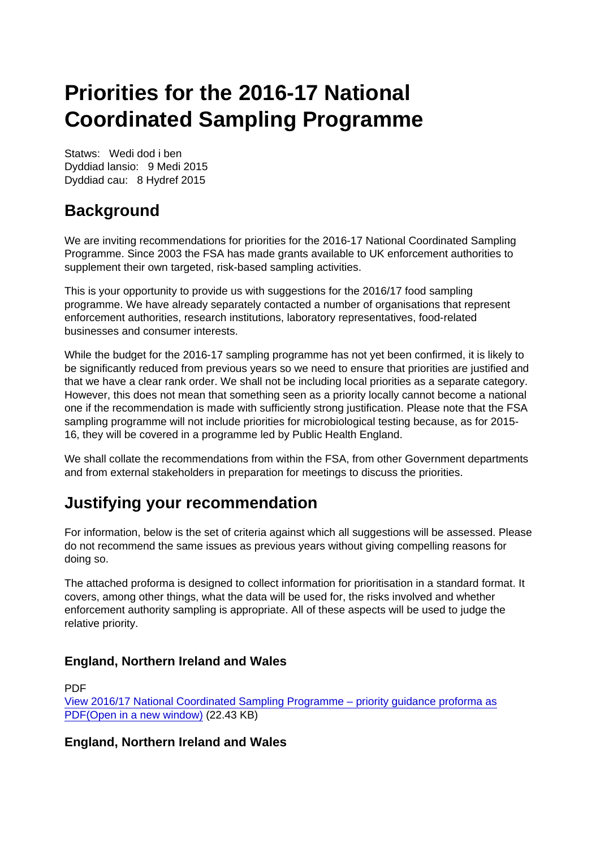# Priorities for the 2016-17 National Coordinated Sampling Programme

Statws: Wedi dod i ben Dyddiad lansio: 9 Medi 2015 Dyddiad cau: 8 Hydref 2015

# **Background**

We are inviting recommendations for priorities for the 2016-17 National Coordinated Sampling Programme. Since 2003 the FSA has made grants available to UK enforcement authorities to supplement their own targeted, risk-based sampling activities.

This is your opportunity to provide us with suggestions for the 2016/17 food sampling programme. We have already separately contacted a number of organisations that represent enforcement authorities, research institutions, laboratory representatives, food-related businesses and consumer interests.

While the budget for the 2016-17 sampling programme has not yet been confirmed, it is likely to be significantly reduced from previous years so we need to ensure that priorities are justified and that we have a clear rank order. We shall not be including local priorities as a separate category. However, this does not mean that something seen as a priority locally cannot become a national one if the recommendation is made with sufficiently strong justification. Please note that the FSA sampling programme will not include priorities for microbiological testing because, as for 2015- 16, they will be covered in a programme led by Public Health England.

We shall collate the recommendations from within the FSA, from other Government departments and from external stakeholders in preparation for meetings to discuss the priorities.

## Justifying your recommendation

For information, below is the set of criteria against which all suggestions will be assessed. Please do not recommend the same issues as previous years without giving compelling reasons for doing so.

The attached proforma is designed to collect information for prioritisation in a standard format. It covers, among other things, what the data will be used for, the risks involved and whether enforcement authority sampling is appropriate. All of these aspects will be used to judge the relative priority.

England, Northern Ireland and Wales

PDF [View 2016/17 National Coordinated Sampling Programme – priority guidance proforma as](https://www.food.gov.uk/sites/default/files/media/document/2016-17-external-priority-proforma.pdf) [PDF\(Open in a new window\)](https://www.food.gov.uk/sites/default/files/media/document/2016-17-external-priority-proforma.pdf) (22.43 KB)

England, Northern Ireland and Wales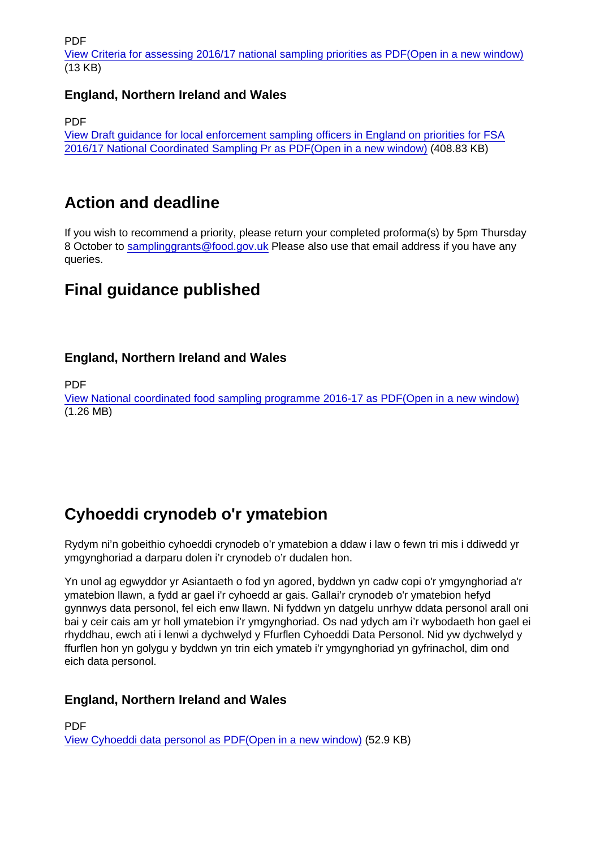PDF

[View Criteria for assessing 2016/17 national sampling priorities as PDF\(Open in a new window\)](https://www.food.gov.uk/sites/default/files/media/document/sampling-programme-criteria-2016-17_0.pdf) (13 KB)

England, Northern Ireland and Wales

PDF

[View Draft guidance for local enforcement sampling officers in England on priorities for FSA](https://www.food.gov.uk/sites/default/files/media/document/2016-17-collated-sampling-guidance.pdf) [2016/17 National Coordinated Sampling Pr as PDF\(Open in a new window\)](https://www.food.gov.uk/sites/default/files/media/document/2016-17-collated-sampling-guidance.pdf) (408.83 KB)

#### Action and deadline

If you wish to recommend a priority, please return your completed proforma(s) by 5pm Thursday 8 October to [samplinggrants@food.gov.uk](mailto:samplinggrants@food.gov.uk) Please also use that email address if you have any queries.

#### Final guidance published

England, Northern Ireland and Wales

PDF

[View National coordinated food sampling programme 2016-17 as PDF\(Open in a new window\)](https://www.food.gov.uk/sites/default/files/media/document/food-sampling-guidance-2016-17.pdf) (1.26 MB)

## Cyhoeddi crynodeb o'r ymatebion

Rydym ni'n gobeithio cyhoeddi crynodeb o'r ymatebion a ddaw i law o fewn tri mis i ddiwedd yr ymgynghoriad a darparu dolen i'r crynodeb o'r dudalen hon.

Yn unol ag egwyddor yr Asiantaeth o fod yn agored, byddwn yn cadw copi o'r ymgynghoriad a'r ymatebion llawn, a fydd ar gael i'r cyhoedd ar gais. Gallai'r crynodeb o'r ymatebion hefyd gynnwys data personol, fel eich enw llawn. Ni fyddwn yn datgelu unrhyw ddata personol arall oni bai y ceir cais am yr holl ymatebion i'r ymgynghoriad. Os nad ydych am i'r wybodaeth hon gael ei rhyddhau, ewch ati i lenwi a dychwelyd y Ffurflen Cyhoeddi Data Personol. Nid yw dychwelyd y ffurflen hon yn golygu y byddwn yn trin eich ymateb i'r ymgynghoriad yn gyfrinachol, dim ond eich data personol.

England, Northern Ireland and Wales

PDF [View Cyhoeddi data personol as PDF\(Open in a new window\)](https://www.food.gov.uk/sites/default/files/media/document/dataprotectionw.pdf) (52.9 KB)